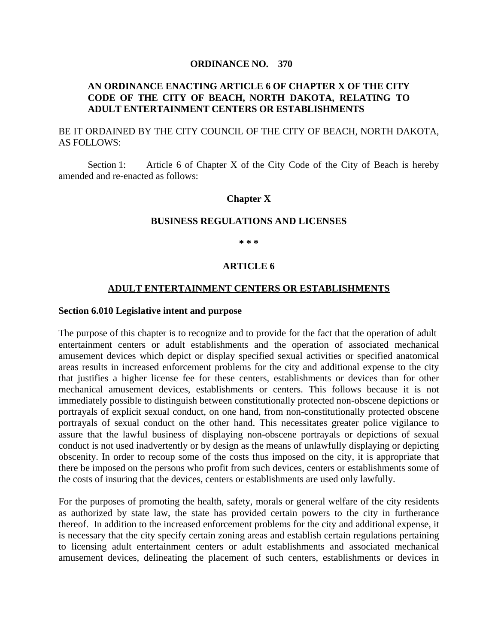#### **ORDINANCE NO. 370**

## **AN ORDINANCE ENACTING ARTICLE 6 OF CHAPTER X OF THE CITY CODE OF THE CITY OF BEACH, NORTH DAKOTA, RELATING TO ADULT ENTERTAINMENT CENTERS OR ESTABLISHMENTS**

BE IT ORDAINED BY THE CITY COUNCIL OF THE CITY OF BEACH, NORTH DAKOTA, AS FOLLOWS:

Section 1: Article 6 of Chapter X of the City Code of the City of Beach is hereby amended and re-enacted as follows:

#### **Chapter X**

#### **BUSINESS REGULATIONS AND LICENSES**

**\* \* \***

#### **ARTICLE 6**

#### **ADULT ENTERTAINMENT CENTERS OR ESTABLISHMENTS**

#### **Section 6.010 Legislative intent and purpose**

The purpose of this chapter is to recognize and to provide for the fact that the operation of adult entertainment centers or adult establishments and the operation of associated mechanical amusement devices which depict or display specified sexual activities or specified anatomical areas results in increased enforcement problems for the city and additional expense to the city that justifies a higher license fee for these centers, establishments or devices than for other mechanical amusement devices, establishments or centers. This follows because it is not immediately possible to distinguish between constitutionally protected non-obscene depictions or portrayals of explicit sexual conduct, on one hand, from non-constitutionally protected obscene portrayals of sexual conduct on the other hand. This necessitates greater police vigilance to assure that the lawful business of displaying non-obscene portrayals or depictions of sexual conduct is not used inadvertently or by design as the means of unlawfully displaying or depicting obscenity. In order to recoup some of the costs thus imposed on the city, it is appropriate that there be imposed on the persons who profit from such devices, centers or establishments some of the costs of insuring that the devices, centers or establishments are used only lawfully.

For the purposes of promoting the health, safety, morals or general welfare of the city residents as authorized by state law, the state has provided certain powers to the city in furtherance thereof. In addition to the increased enforcement problems for the city and additional expense, it is necessary that the city specify certain zoning areas and establish certain regulations pertaining to licensing adult entertainment centers or adult establishments and associated mechanical amusement devices, delineating the placement of such centers, establishments or devices in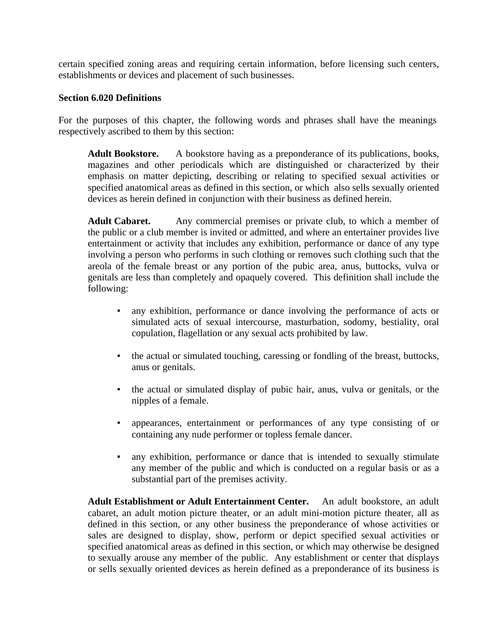certain specified zoning areas and requiring certain information, before licensing such centers, establishments or devices and placement of such businesses.

### **Section 6.020 Definitions**

For the purposes of this chapter, the following words and phrases shall have the meanings respectively ascribed to them by this section:

**Adult Bookstore.** A bookstore having as a preponderance of its publications, books, magazines and other periodicals which are distinguished or characterized by their emphasis on matter depicting, describing or relating to specified sexual activities or specified anatomical areas as defined in this section, or which also sells sexually oriented devices as herein defined in conjunction with their business as defined herein.

Adult Cabaret. Any commercial premises or private club, to which a member of the public or a club member is invited or admitted, and where an entertainer provides live entertainment or activity that includes any exhibition, performance or dance of any type involving a person who performs in such clothing or removes such clothing such that the areola of the female breast or any portion of the pubic area, anus, buttocks, vulva or genitals are less than completely and opaquely covered. This definition shall include the following:

- any exhibition, performance or dance involving the performance of acts or simulated acts of sexual intercourse, masturbation, sodomy, bestiality, oral copulation, flagellation or any sexual acts prohibited by law.
- the actual or simulated touching, caressing or fondling of the breast, buttocks, anus or genitals.
- the actual or simulated display of pubic hair, anus, vulva or genitals, or the nipples of a female.
- appearances, entertainment or performances of any type consisting of or containing any nude performer or topless female dancer.
- any exhibition, performance or dance that is intended to sexually stimulate any member of the public and which is conducted on a regular basis or as a substantial part of the premises activity.

**Adult Establishment or Adult Entertainment Center.** An adult bookstore, an adult cabaret, an adult motion picture theater, or an adult mini-motion picture theater, all as defined in this section, or any other business the preponderance of whose activities or sales are designed to display, show, perform or depict specified sexual activities or specified anatomical areas as defined in this section, or which may otherwise be designed to sexually arouse any member of the public. Any establishment or center that displays or sells sexually oriented devices as herein defined as a preponderance of its business is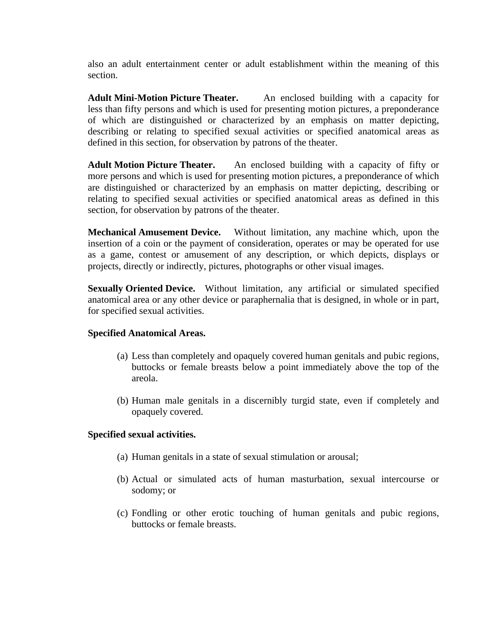also an adult entertainment center or adult establishment within the meaning of this section.

**Adult Mini-Motion Picture Theater.** An enclosed building with a capacity for less than fifty persons and which is used for presenting motion pictures, a preponderance of which are distinguished or characterized by an emphasis on matter depicting, describing or relating to specified sexual activities or specified anatomical areas as defined in this section, for observation by patrons of the theater.

**Adult Motion Picture Theater.** An enclosed building with a capacity of fifty or more persons and which is used for presenting motion pictures, a preponderance of which are distinguished or characterized by an emphasis on matter depicting, describing or relating to specified sexual activities or specified anatomical areas as defined in this section, for observation by patrons of the theater.

**Mechanical Amusement Device.** Without limitation, any machine which, upon the insertion of a coin or the payment of consideration, operates or may be operated for use as a game, contest or amusement of any description, or which depicts, displays or projects, directly or indirectly, pictures, photographs or other visual images.

**Sexually Oriented Device.** Without limitation, any artificial or simulated specified anatomical area or any other device or paraphernalia that is designed, in whole or in part, for specified sexual activities.

### **Specified Anatomical Areas.**

- (a) Less than completely and opaquely covered human genitals and pubic regions, buttocks or female breasts below a point immediately above the top of the areola.
- (b) Human male genitals in a discernibly turgid state, even if completely and opaquely covered.

# **Specified sexual activities.**

- (a) Human genitals in a state of sexual stimulation or arousal;
- (b) Actual or simulated acts of human masturbation, sexual intercourse or sodomy; or
- (c) Fondling or other erotic touching of human genitals and pubic regions, buttocks or female breasts.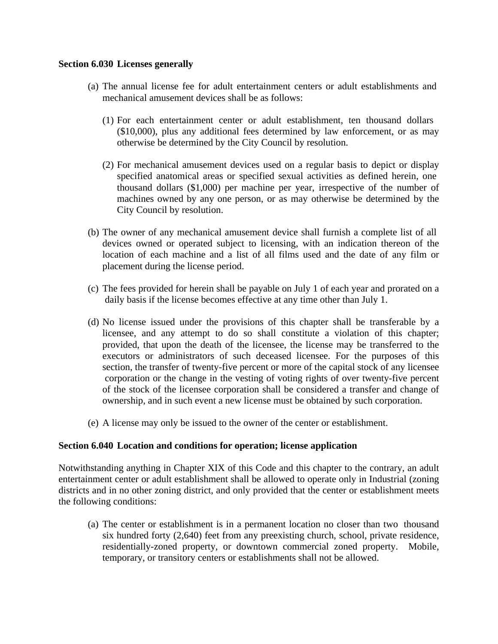### **Section 6.030 Licenses generally**

- (a) The annual license fee for adult entertainment centers or adult establishments and mechanical amusement devices shall be as follows:
	- (1) For each entertainment center or adult establishment, ten thousand dollars (\$10,000), plus any additional fees determined by law enforcement, or as may otherwise be determined by the City Council by resolution.
	- (2) For mechanical amusement devices used on a regular basis to depict or display specified anatomical areas or specified sexual activities as defined herein, one thousand dollars (\$1,000) per machine per year, irrespective of the number of machines owned by any one person, or as may otherwise be determined by the City Council by resolution.
- (b) The owner of any mechanical amusement device shall furnish a complete list of all devices owned or operated subject to licensing, with an indication thereon of the location of each machine and a list of all films used and the date of any film or placement during the license period.
- (c) The fees provided for herein shall be payable on July 1 of each year and prorated on a daily basis if the license becomes effective at any time other than July 1.
- (d) No license issued under the provisions of this chapter shall be transferable by a licensee, and any attempt to do so shall constitute a violation of this chapter; provided, that upon the death of the licensee, the license may be transferred to the executors or administrators of such deceased licensee. For the purposes of this section, the transfer of twenty-five percent or more of the capital stock of any licensee corporation or the change in the vesting of voting rights of over twenty-five percent of the stock of the licensee corporation shall be considered a transfer and change of ownership, and in such event a new license must be obtained by such corporation.
- (e) A license may only be issued to the owner of the center or establishment.

### **Section 6.040 Location and conditions for operation; license application**

Notwithstanding anything in Chapter XIX of this Code and this chapter to the contrary, an adult entertainment center or adult establishment shall be allowed to operate only in Industrial (zoning districts and in no other zoning district, and only provided that the center or establishment meets the following conditions:

(a) The center or establishment is in a permanent location no closer than two thousand six hundred forty (2,640) feet from any preexisting church, school, private residence, residentially-zoned property, or downtown commercial zoned property. Mobile, temporary, or transitory centers or establishments shall not be allowed.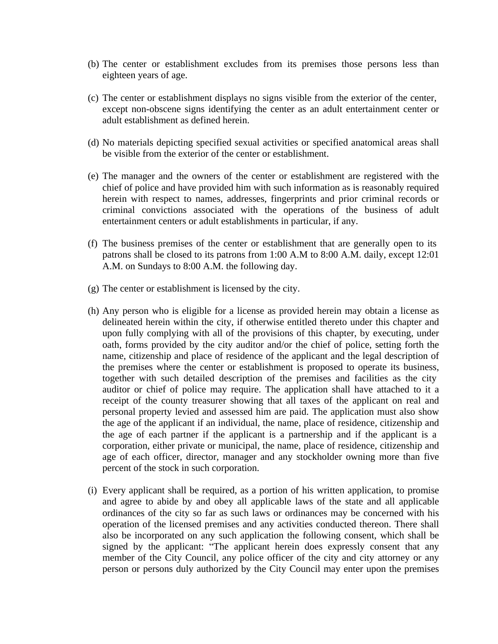- (b) The center or establishment excludes from its premises those persons less than eighteen years of age.
- (c) The center or establishment displays no signs visible from the exterior of the center, except non-obscene signs identifying the center as an adult entertainment center or adult establishment as defined herein.
- (d) No materials depicting specified sexual activities or specified anatomical areas shall be visible from the exterior of the center or establishment.
- (e) The manager and the owners of the center or establishment are registered with the chief of police and have provided him with such information as is reasonably required herein with respect to names, addresses, fingerprints and prior criminal records or criminal convictions associated with the operations of the business of adult entertainment centers or adult establishments in particular, if any.
- (f) The business premises of the center or establishment that are generally open to its patrons shall be closed to its patrons from 1:00 A.M to 8:00 A.M. daily, except 12:01 A.M. on Sundays to 8:00 A.M. the following day.
- (g) The center or establishment is licensed by the city.
- (h) Any person who is eligible for a license as provided herein may obtain a license as delineated herein within the city, if otherwise entitled thereto under this chapter and upon fully complying with all of the provisions of this chapter, by executing, under oath, forms provided by the city auditor and/or the chief of police, setting forth the name, citizenship and place of residence of the applicant and the legal description of the premises where the center or establishment is proposed to operate its business, together with such detailed description of the premises and facilities as the city auditor or chief of police may require. The application shall have attached to it a receipt of the county treasurer showing that all taxes of the applicant on real and personal property levied and assessed him are paid. The application must also show the age of the applicant if an individual, the name, place of residence, citizenship and the age of each partner if the applicant is a partnership and if the applicant is a corporation, either private or municipal, the name, place of residence, citizenship and age of each officer, director, manager and any stockholder owning more than five percent of the stock in such corporation.
- (i) Every applicant shall be required, as a portion of his written application, to promise and agree to abide by and obey all applicable laws of the state and all applicable ordinances of the city so far as such laws or ordinances may be concerned with his operation of the licensed premises and any activities conducted thereon. There shall also be incorporated on any such application the following consent, which shall be signed by the applicant: "The applicant herein does expressly consent that any member of the City Council, any police officer of the city and city attorney or any person or persons duly authorized by the City Council may enter upon the premises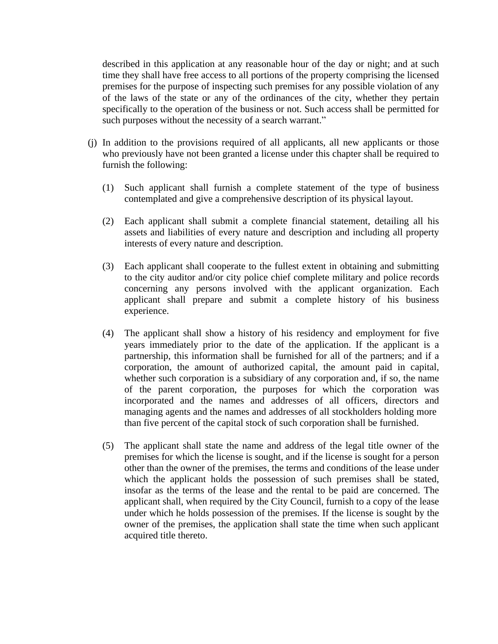described in this application at any reasonable hour of the day or night; and at such time they shall have free access to all portions of the property comprising the licensed premises for the purpose of inspecting such premises for any possible violation of any of the laws of the state or any of the ordinances of the city, whether they pertain specifically to the operation of the business or not. Such access shall be permitted for such purposes without the necessity of a search warrant."

- (j) In addition to the provisions required of all applicants, all new applicants or those who previously have not been granted a license under this chapter shall be required to furnish the following:
	- (1) Such applicant shall furnish a complete statement of the type of business contemplated and give a comprehensive description of its physical layout.
	- (2) Each applicant shall submit a complete financial statement, detailing all his assets and liabilities of every nature and description and including all property interests of every nature and description.
	- (3) Each applicant shall cooperate to the fullest extent in obtaining and submitting to the city auditor and/or city police chief complete military and police records concerning any persons involved with the applicant organization. Each applicant shall prepare and submit a complete history of his business experience.
	- (4) The applicant shall show a history of his residency and employment for five years immediately prior to the date of the application. If the applicant is a partnership, this information shall be furnished for all of the partners; and if a corporation, the amount of authorized capital, the amount paid in capital, whether such corporation is a subsidiary of any corporation and, if so, the name of the parent corporation, the purposes for which the corporation was incorporated and the names and addresses of all officers, directors and managing agents and the names and addresses of all stockholders holding more than five percent of the capital stock of such corporation shall be furnished.
	- (5) The applicant shall state the name and address of the legal title owner of the premises for which the license is sought, and if the license is sought for a person other than the owner of the premises, the terms and conditions of the lease under which the applicant holds the possession of such premises shall be stated, insofar as the terms of the lease and the rental to be paid are concerned. The applicant shall, when required by the City Council, furnish to a copy of the lease under which he holds possession of the premises. If the license is sought by the owner of the premises, the application shall state the time when such applicant acquired title thereto.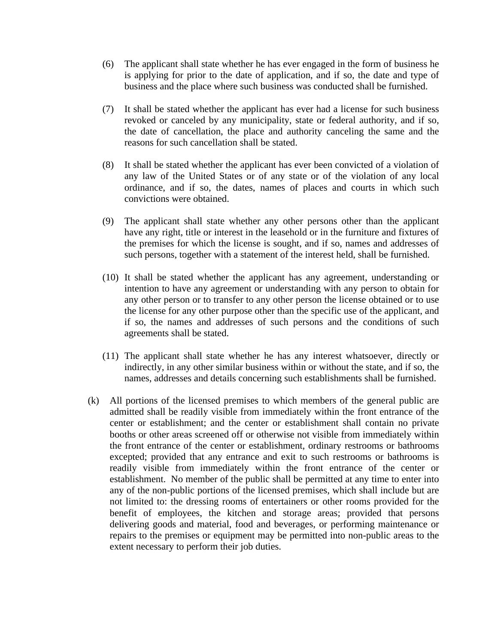- (6) The applicant shall state whether he has ever engaged in the form of business he is applying for prior to the date of application, and if so, the date and type of business and the place where such business was conducted shall be furnished.
- (7) It shall be stated whether the applicant has ever had a license for such business revoked or canceled by any municipality, state or federal authority, and if so, the date of cancellation, the place and authority canceling the same and the reasons for such cancellation shall be stated.
- (8) It shall be stated whether the applicant has ever been convicted of a violation of any law of the United States or of any state or of the violation of any local ordinance, and if so, the dates, names of places and courts in which such convictions were obtained.
- (9) The applicant shall state whether any other persons other than the applicant have any right, title or interest in the leasehold or in the furniture and fixtures of the premises for which the license is sought, and if so, names and addresses of such persons, together with a statement of the interest held, shall be furnished.
- (10) It shall be stated whether the applicant has any agreement, understanding or intention to have any agreement or understanding with any person to obtain for any other person or to transfer to any other person the license obtained or to use the license for any other purpose other than the specific use of the applicant, and if so, the names and addresses of such persons and the conditions of such agreements shall be stated.
- (11) The applicant shall state whether he has any interest whatsoever, directly or indirectly, in any other similar business within or without the state, and if so, the names, addresses and details concerning such establishments shall be furnished.
- (k) All portions of the licensed premises to which members of the general public are admitted shall be readily visible from immediately within the front entrance of the center or establishment; and the center or establishment shall contain no private booths or other areas screened off or otherwise not visible from immediately within the front entrance of the center or establishment, ordinary restrooms or bathrooms excepted; provided that any entrance and exit to such restrooms or bathrooms is readily visible from immediately within the front entrance of the center or establishment. No member of the public shall be permitted at any time to enter into any of the non-public portions of the licensed premises, which shall include but are not limited to: the dressing rooms of entertainers or other rooms provided for the benefit of employees, the kitchen and storage areas; provided that persons delivering goods and material, food and beverages, or performing maintenance or repairs to the premises or equipment may be permitted into non-public areas to the extent necessary to perform their job duties.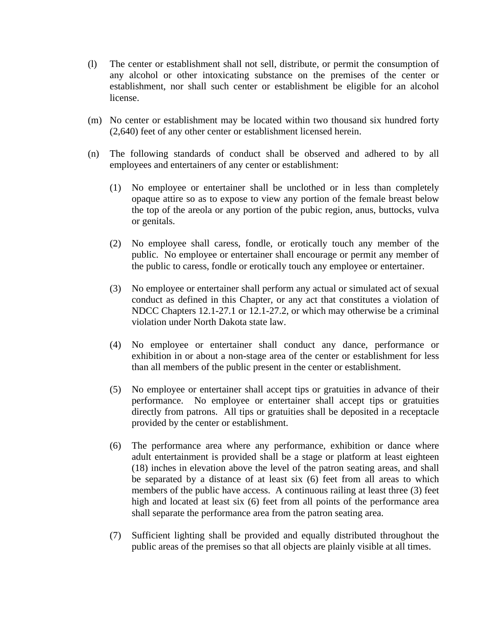- (l) The center or establishment shall not sell, distribute, or permit the consumption of any alcohol or other intoxicating substance on the premises of the center or establishment, nor shall such center or establishment be eligible for an alcohol license.
- (m) No center or establishment may be located within two thousand six hundred forty (2,640) feet of any other center or establishment licensed herein.
- (n) The following standards of conduct shall be observed and adhered to by all employees and entertainers of any center or establishment:
	- (1) No employee or entertainer shall be unclothed or in less than completely opaque attire so as to expose to view any portion of the female breast below the top of the areola or any portion of the pubic region, anus, buttocks, vulva or genitals.
	- (2) No employee shall caress, fondle, or erotically touch any member of the public. No employee or entertainer shall encourage or permit any member of the public to caress, fondle or erotically touch any employee or entertainer.
	- (3) No employee or entertainer shall perform any actual or simulated act of sexual conduct as defined in this Chapter, or any act that constitutes a violation of NDCC Chapters 12.1-27.1 or 12.1-27.2, or which may otherwise be a criminal violation under North Dakota state law.
	- (4) No employee or entertainer shall conduct any dance, performance or exhibition in or about a non-stage area of the center or establishment for less than all members of the public present in the center or establishment.
	- (5) No employee or entertainer shall accept tips or gratuities in advance of their performance. No employee or entertainer shall accept tips or gratuities directly from patrons. All tips or gratuities shall be deposited in a receptacle provided by the center or establishment.
	- (6) The performance area where any performance, exhibition or dance where adult entertainment is provided shall be a stage or platform at least eighteen (18) inches in elevation above the level of the patron seating areas, and shall be separated by a distance of at least six (6) feet from all areas to which members of the public have access. A continuous railing at least three (3) feet high and located at least six (6) feet from all points of the performance area shall separate the performance area from the patron seating area.
	- (7) Sufficient lighting shall be provided and equally distributed throughout the public areas of the premises so that all objects are plainly visible at all times.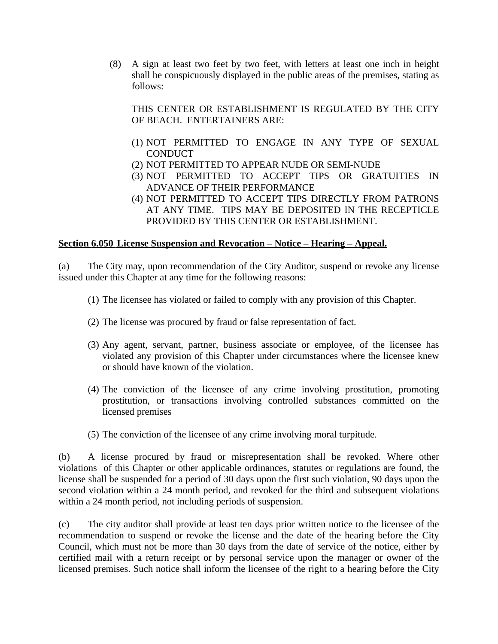(8) A sign at least two feet by two feet, with letters at least one inch in height shall be conspicuously displayed in the public areas of the premises, stating as follows:

THIS CENTER OR ESTABLISHMENT IS REGULATED BY THE CITY OF BEACH. ENTERTAINERS ARE:

- (1) NOT PERMITTED TO ENGAGE IN ANY TYPE OF SEXUAL **CONDUCT**
- (2) NOT PERMITTED TO APPEAR NUDE OR SEMI-NUDE
- (3) NOT PERMITTED TO ACCEPT TIPS OR GRATUITIES IN ADVANCE OF THEIR PERFORMANCE
- (4) NOT PERMITTED TO ACCEPT TIPS DIRECTLY FROM PATRONS AT ANY TIME. TIPS MAY BE DEPOSITED IN THE RECEPTICLE PROVIDED BY THIS CENTER OR ESTABLISHMENT.

### **Section 6.050 License Suspension and Revocation – Notice – Hearing – Appeal.**

(a) The City may, upon recommendation of the City Auditor, suspend or revoke any license issued under this Chapter at any time for the following reasons:

- (1) The licensee has violated or failed to comply with any provision of this Chapter.
- (2) The license was procured by fraud or false representation of fact.
- (3) Any agent, servant, partner, business associate or employee, of the licensee has violated any provision of this Chapter under circumstances where the licensee knew or should have known of the violation.
- (4) The conviction of the licensee of any crime involving prostitution, promoting prostitution, or transactions involving controlled substances committed on the licensed premises
- (5) The conviction of the licensee of any crime involving moral turpitude.

(b) A license procured by fraud or misrepresentation shall be revoked. Where other violations of this Chapter or other applicable ordinances, statutes or regulations are found, the license shall be suspended for a period of 30 days upon the first such violation, 90 days upon the second violation within a 24 month period, and revoked for the third and subsequent violations within a 24 month period, not including periods of suspension.

(c) The city auditor shall provide at least ten days prior written notice to the licensee of the recommendation to suspend or revoke the license and the date of the hearing before the City Council, which must not be more than 30 days from the date of service of the notice, either by certified mail with a return receipt or by personal service upon the manager or owner of the licensed premises. Such notice shall inform the licensee of the right to a hearing before the City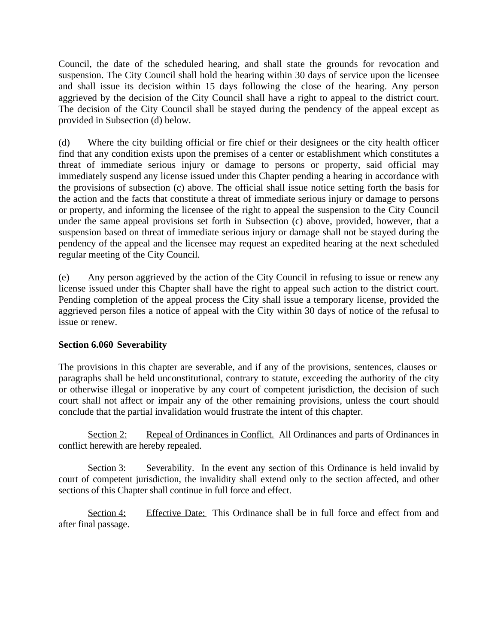Council, the date of the scheduled hearing, and shall state the grounds for revocation and suspension. The City Council shall hold the hearing within 30 days of service upon the licensee and shall issue its decision within 15 days following the close of the hearing. Any person aggrieved by the decision of the City Council shall have a right to appeal to the district court. The decision of the City Council shall be stayed during the pendency of the appeal except as provided in Subsection (d) below.

(d) Where the city building official or fire chief or their designees or the city health officer find that any condition exists upon the premises of a center or establishment which constitutes a threat of immediate serious injury or damage to persons or property, said official may immediately suspend any license issued under this Chapter pending a hearing in accordance with the provisions of subsection (c) above. The official shall issue notice setting forth the basis for the action and the facts that constitute a threat of immediate serious injury or damage to persons or property, and informing the licensee of the right to appeal the suspension to the City Council under the same appeal provisions set forth in Subsection (c) above, provided, however, that a suspension based on threat of immediate serious injury or damage shall not be stayed during the pendency of the appeal and the licensee may request an expedited hearing at the next scheduled regular meeting of the City Council.

(e) Any person aggrieved by the action of the City Council in refusing to issue or renew any license issued under this Chapter shall have the right to appeal such action to the district court. Pending completion of the appeal process the City shall issue a temporary license, provided the aggrieved person files a notice of appeal with the City within 30 days of notice of the refusal to issue or renew.

# **Section 6.060 Severability**

The provisions in this chapter are severable, and if any of the provisions, sentences, clauses or paragraphs shall be held unconstitutional, contrary to statute, exceeding the authority of the city or otherwise illegal or inoperative by any court of competent jurisdiction, the decision of such court shall not affect or impair any of the other remaining provisions, unless the court should conclude that the partial invalidation would frustrate the intent of this chapter.

Section 2: Repeal of Ordinances in Conflict. All Ordinances and parts of Ordinances in conflict herewith are hereby repealed.

Section 3: Severability. In the event any section of this Ordinance is held invalid by court of competent jurisdiction, the invalidity shall extend only to the section affected, and other sections of this Chapter shall continue in full force and effect.

Section 4: Effective Date: This Ordinance shall be in full force and effect from and after final passage.